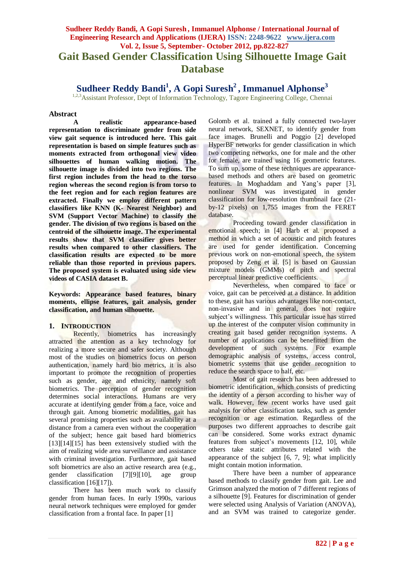# **Sudheer Reddy Bandi, A Gopi Suresh , Immanuel Alphonse / International Journal of Engineering Research and Applications (IJERA) ISSN: 2248-9622 www.ijera.com Vol. 2, Issue 5, September- October 2012, pp.822-827 Gait Based Gender Classification Using Silhouette Image Gait Database**

**Sudheer Reddy Bandi<sup>1</sup> , A Gopi Suresh<sup>2</sup> , Immanuel Alphonse<sup>3</sup>**

 $1,2,3$ Assistant Professor, Dept of Information Technology, Tagore Engineering College, Chennai

#### **Abstract**

**A realistic appearance-based representation to discriminate gender from side view gait sequence is introduced here. This gait representation is based on simple features such as moments extracted from orthogonal view video silhouettes of human walking motion. The silhouette image is divided into two regions. The first region includes from the head to the torso region whereas the second region is from torso to the feet region and for each region features are extracted. Finally we employ different pattern classifiers like KNN (K- Nearest Neighbor) and SVM (Support Vector Machine) to classify the gender. The division of two regions is based on the centroid of the silhouette image. The experimental results show that SVM classifier gives better results when compared to other classifiers. The classification results are expected to be more reliable than those reported in previous papers. The proposed system is evaluated using side view videos of CASIA dataset B.**

**Keywords: Appearance based features, binary moments, ellipse features, gait analysis, gender classification, and human silhouette.**

#### **1. INTRODUCTION**

Recently, biometrics has increasingly attracted the attention as a key technology for realizing a more secure and safer society. Although most of the studies on biometrics focus on person authentication, namely hard bio metrics, it is also important to promote the recognition of properties such as gender, age and ethnicity, namely soft biometrics. The perception of gender recognition determines social interactions. Humans are very accurate at identifying gender from a face, voice and through gait. Among biometric modalities, gait has several promising properties such as availability at a distance from a camera even without the cooperation of the subject; hence gait based hard biometrics [13][14][15] has been extensively studied with the aim of realizing wide area surveillance and assistance with criminal investigation. Furthermore, gait based soft biometrics are also an active research area (e.g., gender classification [7][9][10], age group classification [16][17]).

There has been much work to classify gender from human faces. In early 1990s, various neural network techniques were employed for gender classification from a frontal face. In paper [1]

Golomb et al. trained a fully connected two-layer neural network, SEXNET, to identify gender from face images. Brunelli and Poggio [2] developed HyperBF networks for gender classification in which two competing networks, one for male and the other for female, are trained using 16 geometric features. To sum up, some of these techniques are appearancebased methods and others are based on geometric features. In Moghaddam and Yang's paper [3], nonlinear SVM was investigated in gender classification for low-resolution thumbnail face (21 by-12 pixels) on 1,755 images from the FERET database.

Proceeding toward gender classification in emotional speech; in [4] Harb et al. proposed a method in which a set of acoustic and pitch features are used for gender identification. Concerning previous work on non-emotional speech, the system proposed by Zeng et al. [5] is based on Gaussian mixture models (GMMs) of pitch and spectral perceptual linear predictive coefficients.

Nevertheless, when compared to face or voice, gait can be perceived at a distance. In addition to these, gait has various advantages like non-contact, non-invasive and in general, does not require subject's willingness. This particular issue has stirred up the interest of the computer vision community in creating gait based gender recognition systems. A number of applications can be benefitted from the development of such systems. For example demographic analysis of systems, access control, biometric systems that use gender recognition to reduce the search space to half, etc.

Most of gait research has been addressed to biometric identification, which consists of predicting the identity of a person according to his/her way of walk. However, few recent works have used gait analysis for other classification tasks, such as gender recognition or age estimation. Regardless of the purposes two different approaches to describe gait can be considered. Some works extract dynamic features from subject's movements [12, 10], while others take static attributes related with the appearance of the subject  $[6, 7, 9]$ ; what implicitly might contain motion information.

There have been a number of appearance based methods to classify gender from gait. Lee and Grimson analyzed the motion of 7 different regions of a silhouette [9]. Features for discrimination of gender were selected using Analysis of Variation (ANOVA), and an SVM was trained to categorize gender.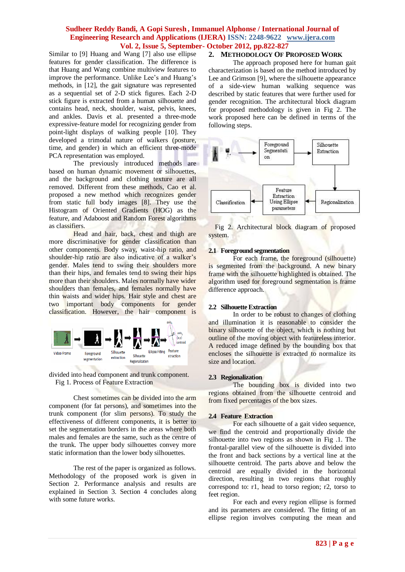Similar to [9] Huang and Wang [7] also use ellipse features for gender classification. The difference is that Huang and Wang combine multiview features to improve the performance. Unlike Lee's and Huang's methods, in [12], the gait signature was represented as a sequential set of 2-D stick figures. Each 2-D stick figure is extracted from a human silhouette and contains head, neck, shoulder, waist, pelvis, knees, and ankles. Davis et al. presented a three-mode expressive-feature model for recognizing gender from point-light displays of walking people [10]. They developed a trimodal nature of walkers (posture, time, and gender) in which an efficient three-mode PCA representation was employed.

The previously introduced methods are based on human dynamic movement or silhouettes, and the background and clothing texture are all removed. Different from these methods, Cao et al. proposed a new method which recognizes gender from static full body images [8]. They use the Histogram of Oriented Gradients (HOG) as the feature, and Adaboost and Random Forest algorithms as classifiers.

Head and hair, back, chest and thigh are more discriminative for gender classification than other components. Body sway, waist-hip ratio, and shoulder-hip ratio are also indicative of a walker's gender. Males tend to swing their shoulders more than their hips, and females tend to swing their hips more than their shoulders. Males normally have wider shoulders than females, and females normally have thin waists and wider hips. Hair style and chest are two important body components for gender classification. However, the hair component is



divided into head component and trunk component. Fig 1. Process of Feature Extraction

Chest sometimes can be divided into the arm component (for fat persons), and sometimes into the trunk component (for slim persons). To study the effectiveness of different components, it is better to set the segmentation borders in the areas where both males and females are the same, such as the centre of the trunk. The upper body silhouettes convey more static information than the lower body silhouettes.

The rest of the paper is organized as follows. Methodology of the proposed work is given in Section 2. Performance analysis and results are explained in Section 3. Section 4 concludes along with some future works.

#### **2. METHODOLOGY OF PROPOSED WORK**

The approach proposed here for human gait characterization is based on the method introduced by Lee and Grimson [9], where the silhouette appearance of a side-view human walking sequence was described by static features that were further used for gender recognition. The architectural block diagram for proposed methodology is given in Fig 2. The work proposed here can be defined in terms of the following steps.



Fig 2. Architectural block diagram of proposed system.

#### **2.1 Foreground segmentation**

For each frame, the foreground (silhouette) is segmented from the background. A new binary frame with the silhouette highlighted is obtained. The algorithm used for foreground segmentation is frame difference approach.

#### **2.2 Silhouette Extraction**

In order to be robust to changes of clothing and illumination it is reasonable to consider the binary silhouette of the object, which is nothing but outline of the moving object with featureless interior. A reduced image defined by the bounding box that encloses the silhouette is extracted to normalize its size and location.

#### **2.3 Regionalization**

The bounding box is divided into two regions obtained from the silhouette centroid and from fixed percentages of the box sizes.

#### **2.4 Feature Extraction**

For each silhouette of a gait video sequence, we find the centroid and proportionally divide the silhouette into two regions as shown in Fig .1. The frontal-parallel view of the silhouette is divided into the front and back sections by a vertical line at the silhouette centroid. The parts above and below the centroid are equally divided in the horizontal direction, resulting in two regions that roughly correspond to: r1, head to torso region; r2, torso to feet region.

For each and every region ellipse is formed and its parameters are considered. The fitting of an ellipse region involves computing the mean and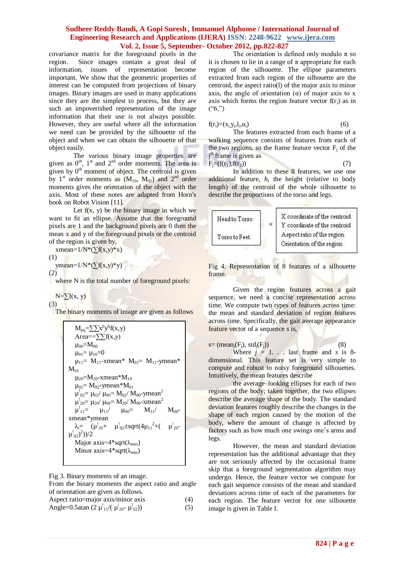covariance matrix for the foreground pixels in the region. Since images contain a great deal of information, issues of representation become important. We show that the geometric properties of interest can be computed from projections of binary images. Binary images are used in many applications since they are the simplest to process, but they are such an impoverished representation of the image information that their use is not always possible. However, they are useful where all the information we need can be provided by the silhouette of the object and when we can obtain the silhouette of that object easily.

The various binary image properties are given as  $0^{\text{th}}$ ,  $1^{\text{st}}$  and  $2^{\text{nd}}$  order moments. The area is given by  $0<sup>th</sup>$  moment of object. The centroid is given by 1<sup>st</sup> order moments as  $(M_{10}, M_{01})$  and 2<sup>nd</sup> order moments gives the orientation of the object with the axis. Most of these notes are adapted from Horn's book on Robot Vision [11].

Let  $f(x, y)$  be the binary image in which we want to fit an ellipse. Assume that the foreground pixels are 1 and the background pixels are 0 then the mean x and y of the foreground pixels or the centroid of the region is given by,

xmean= $1/N*(\overline{\Sigma}f(x,y)*x)$ 

$$
(1)
$$

ymean= $1/N*(\sum f(x,y)*y)$ 

(2)

where N is the total number of foreground pixels:

 $N=\sum I(x, y)$ 

(3)

The binary moments of image are given as follows

$$
\begin{array}{l|l} M_{pq} = & \sum x^p y^q f(x,y) \\ \text{Area} = & \sum y^q f(x,y) \\ \mu_{00} = M_{00} \\ \mu_{01} = \mu_{10} = 0 \\ \mu_{11} = M_{11} - xmean^* M_{01} = M_{11} - ymean^* \\ M_{01} \\ \mu_{20} = M_{20} - xmean^* M_{10} \\ \mu_{02} = M_{02} - ymean^* M_{01} \\ \mu_{02} = \mu_{20} / \mu_{00} = M_{02} / M_{00} - ymean^2 \\ \mu_{11}^2 = \mu_{10} / \mu_{00} = M_{20} / M_{00} - xmean^2 \\ \mu_{11}^2 = \mu_{11} / \mu_{00} = M_{11} / M_{00} \\ xmean^* ymean \\ \lambda_i = (\mu_{20}^i + \mu_{02}^i \pm sqrt(4\mu_{11}^2 + (\mu_{20}^i - \mu_{02}^i))^2) \\ \text{Major axis} = 4^* sqrt(\lambda_{max}) \\ \text{Minor axis} = 4^* sqrt(\lambda_{min}) \\ \end{array}
$$

Fig 3. Binary moments of an image.

From the binary moments the aspect ratio and angle of orientation are given as follows.

| Aspect ratio=major axis/minor axis                           | (4) |
|--------------------------------------------------------------|-----|
| Angle=0.5atan $(2 \mu_{11}^{1}/(\mu_{20}^{1}/\mu_{02}^{1}))$ | (5) |

The orientation is defined only modulo  $\pi$  so it is chosen to lie in a range of  $\pi$  appropriate for each region of the silhouette. The ellipse parameters extracted from each region of the silhouette are the centroid, the aspect ratio(l) of the major axis to minor axis, the angle of orientation  $(\alpha)$  of major axis to x axis which forms the region feature vector  $f(r_i)$  as in  $($ "6,")

$$
,\alpha_{i})\tag{6}
$$

 $f(r_i)=(x_{i,}y_i, l_i)$ The features extracted from each frame of a walking sequence consists of features from each of the two regions, so the frame feature vector  $F_i$  of the j<sup>th</sup> frame is given as  $F_i = (f(r_1), f(r_2))$ 

In addition to these 8 features, we use one additional feature, *h*, the height (relative to body length) of the centroid of the whole silhouette to describe the proportions of the torso and legs.



Fig 4. Representation of 8 features of a silhouette frame.

Given the region features across a gait sequence, we need a concise representation across time. We compute two types of features across time: the mean and standard deviation of region features across time. Specifically, the gait average appearance feature vector of a sequence *s* is,

| $s = (mean_i(F_i), std_i(F_i))$                     |  |  | (8) |  |
|-----------------------------------------------------|--|--|-----|--|
| Where $j = 1$ last frame and s is 8-                |  |  |     |  |
| dimensional. This feature set is very simple to     |  |  |     |  |
| compute and robust to noisy foreground silhouettes. |  |  |     |  |
| Intuitively, the mean features describe             |  |  |     |  |

the average–looking ellipses for each of two regions of the body; taken together, the two ellipses describe the average shape of the body. The standard deviation features roughly describe the changes in the shape of each region caused by the motion of the body, where the amount of change is affected by factors such as how much one swings one's arms and legs.

However, the mean and standard deviation representation has the additional advantage that they are not seriously affected by the occasional frame skip that a foreground segmentation algorithm may undergo. Hence, the feature vector we compute for each gait sequence consists of the mean and standard deviations across time of each of the parameters for each region. The feature vector for one silhouette image is given in Table I.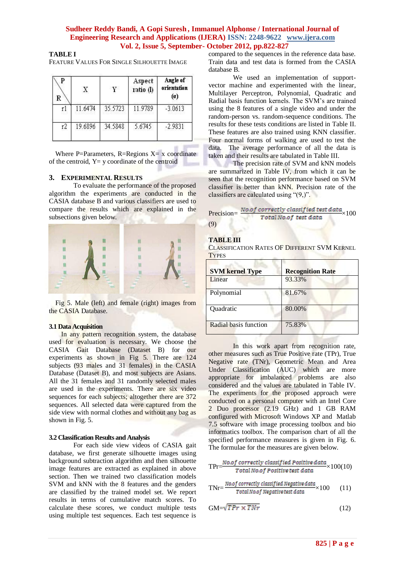**TABLE I**

FEATURE VALUES FOR SINGLE SILHOUETTE IMAGE

| P<br>R | X       |         | Aspect<br>ratio (I) | Angle of<br>orientation<br>$(\alpha)$ |
|--------|---------|---------|---------------------|---------------------------------------|
| ť.     | 11.6474 | 35.5723 | 11.9789             | $-3.0613$                             |
| r2     | 19.6896 | 34.5848 | 5.6745              | $-2.9831$                             |

Where P=Parameters, R=Regions  $X = x$  coordinate of the centroid,  $Y = y$  coordinate of the centroid

# **3. EXPERIMENTAL RESULTS**

To evaluate the performance of the proposed algorithm the experiments are conducted in the CASIA database B and various classifiers are used to compare the results which are explained in the subsections given below.



Fig 5. Male (left) and female (right) images from the CASIA Database.

#### **3.1 Data Acquisition**

In any pattern recognition system, the database used for evaluation is necessary. We choose the CASIA Gait Database (Dataset B) for our experiments as shown in Fig 5. There are 124 subjects (93 males and 31 females) in the CASIA Database (Dataset B), and most subjects are Asians. All the 31 females and 31 randomly selected males are used in the experiments. There are six video sequences for each subjects; altogether there are 372 sequences. All selected data were captured from the side view with normal clothes and without any bag as shown in Fig. 5.

#### **3.2 Classification Results and Analysis**

For each side view videos of CASIA gait database, we first generate silhouette images using background subtraction algorithm and then silhouette image features are extracted as explained in above section. Then we trained two classification models SVM and kNN with the 8 features and the genders are classified by the trained model set. We report results in terms of cumulative match scores. To calculate these scores, we conduct multiple tests using multiple test sequences. Each test sequence is

compared to the sequences in the reference data base. Train data and test data is formed from the CASIA database B.

We used an implementation of supportvector machine and experimented with the linear, Multilayer Perceptron, Polynomial, Quadratic and Radial basis function kernels. The SVM's are trained using the 8 features of a single video and under the random-person vs. random-sequence conditions. The results for these tests conditions are listed in Table II. These features are also trained using KNN classifier. Four normal forms of walking are used to test the data. The average performance of all the data is taken and their results are tabulated in Table III.

The precision rate of SVM and kNN models are summarized in Table IV, from which it can be seen that the recognition performance based on SVM classifier is better than kNN. Precision rate of the classifiers are calculated using "(9,)".

|     | Precision= $\frac{No.of\ correctly\ classified\ test\ data}{N} \times 100$ |
|-----|----------------------------------------------------------------------------|
|     | Total No.of test data                                                      |
| (9) |                                                                            |

# **TABLE III**

CLASSIFICATION RATES OF DIFFERENT SVM KERNEL **TYPES** 

| <b>SVM kernel Type</b> | <b>Recognition Rate</b> |
|------------------------|-------------------------|
| Linear                 | 93.33%                  |
| Polynomial             | 81.67%                  |
| Quadratic              | 80.00%                  |
| Radial basis function  | 75.83%                  |

In this work apart from recognition rate, other measures such as True Positive rate (TPr), True Negative rate (TNr), Geometric Mean and Area Under Classification (AUC) which are more appropriate for imbalanced problems are also considered and the values are tabulated in Table IV. The experiments for the proposed approach were conducted on a personal computer with an Intel Core 2 Duo processor (2.19 GHz) and 1 GB RAM configured with Microsoft Windows XP and Matlab 7.5 software with image processing toolbox and bio informatics toolbox. The comparison chart of all the specified performance measures is given in Fig. 6. The formulae for the measures are given below.

$$
\text{TPr}\text{=}\frac{\text{No. of correctly classified Positive data}}{\text{Total No. of Positive test data}} \times 100(10)
$$

$$
TNr = \frac{No. of \ correctly \ classified \ Negative \ data}{Total \ No. of \ Negative \ test \ data} \times 100 \qquad (11)
$$

$$
GM = \sqrt{TPr \times TNr}
$$
 (12)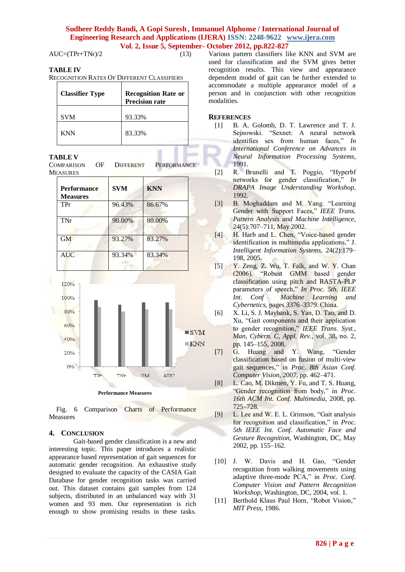$AUC=(TPr+TNr)/2$  (13)

# **TABLE IV**

RECOGNITION RATES OF DIFFERENT CLASSIFIERS

| <b>Classifier Type</b> | <b>Recognition Rate or</b><br><b>Precision rate</b> |
|------------------------|-----------------------------------------------------|
| <b>SVM</b>             | 93.33%                                              |
| <b>KNN</b>             | 83.33%                                              |

#### **TABLE V**

| COMPARISON | – OF | DIFFERENT | <b>PERFORMANCE</b> |  |
|------------|------|-----------|--------------------|--|
| Measures   |      |           |                    |  |

| <b>Performance</b><br><b>Measures</b> | <b>SVM</b> | <b>KNN</b> |
|---------------------------------------|------------|------------|
| TPr                                   | 96.43%     | 86.67%     |
| TNr                                   | 90.00%     | 80.00%     |
| GM                                    | 93.27%     | 83.27%     |
| <b>AUC</b>                            | 93.34%     | 83.34%     |



Fig. 6 Comparison Charts of Performance Measures

#### **4. CONCLUSION**

Gait-based gender classification is a new and interesting topic. This paper introduces a realistic appearance based representation of gait sequences for automatic gender recognition. An exhaustive study designed to evaluate the capacity of the CASIA Gait Database for gender recognition tasks was carried out. This dataset contains gait samples from 124 subjects, distributed in an unbalanced way with 31 women and 93 men. Our representation is rich enough to show promising results in these tasks.

Various pattern classifiers like KNN and SVM are used for classification and the SVM gives better recognition results. This view and appearance dependent model of gait can be further extended to accommodate a multiple appearance model of a person and in conjunction with other recognition modalities.

#### **REFERENCES**

- [1] B. A. Golomb, D. T. Lawrence and T. J. Sejnowski. "Sexnet: A neural network identifies sex from human faces," *In International Conference on Advances in Neural Information Processing Systems*, 1991.
- [2] R. Brunelli and T. Poggio, "Hyperbf networks for gender classification," *In DRAPA Image Understanding Workshop,* 1992.
- [3] B. Moghaddam and M. Yang. "Learning Gender with Support Faces," IEEE Trans. *Pattern Analysis and Machine Intelligence*, 24(5):707–711, May 2002.
- [4] H. Harb and L. Chen, "Voice-based gender identification in multimedia applications," J. *Intelligent Information Systems,* 24(2):179– 198, 2005.
- [5] Y. Zeng, Z. Wu, T. Falk, and W. Y. Chan (2006). "Robust GMM based gender classification using pitch and RASTA-PLP parameters of speech," In Proc. 5th. IEEE Int. Conf<sup>Machine</sup> Learning and *Int. Conf Machine Learning and Cybernetics,* pages 3376–3379. China.
- [6] X. Li, S. J. Maybank, S. Yan, D. Tao, and D. Xu, "Gait components and their application to gender recognition," *IEEE Trans. Syst., Man, Cybern. C, Appl. Rev.*, vol. 38, no. 2, pp. 145–155, 2008.
- [7] G. Huang and Y. Wang, "Gender classification based on fusion of multi-view gait sequences," in *Proc. 8th Asian Conf. Computer Vision*, 2007, pp. 462–471.
- [8] L. Cao, M. Dikmen, Y. Fu, and T. S. Huang, "Gender recognition from body," in *Proc. 16th ACM Int. Conf. Multimedia*, 2008, pp. 725–728.
- [9] L. Lee and W. E. L. Grimson, "Gait analysis for recognition and classification," in *Proc. 5th IEEE Int. Conf. Automatic Face and Gesture Recognition*, Washington, DC, May 2002, pp. 155–162.
- [10] J. W. Davis and H. Gao, "Gender recognition from walking movements using adaptive three-mode PCA," in *Proc. Conf. Computer Vision and Pattern Recognition Workshop*, Washington, DC, 2004, vol. 1.
- [11] Berthold Klaus Paul Horn, "Robot Vision," *MIT Press,* 1986.